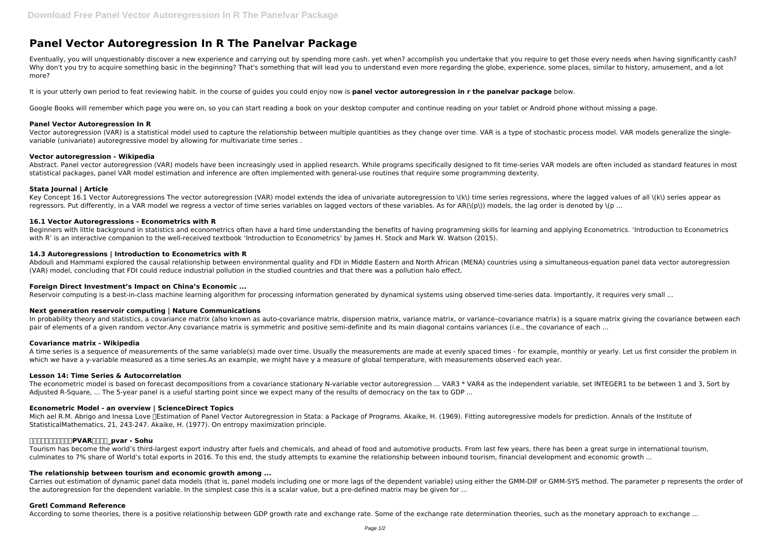# **Panel Vector Autoregression In R The Panelvar Package**

Eventually, you will unquestionably discover a new experience and carrying out by spending more cash. yet when? accomplish you undertake that you require to get those every needs when having significantly cash? Why don't you try to acquire something basic in the beginning? That's something that will lead you to understand even more regarding the globe, experience, some places, similar to history, amusement, and a lot more?

Vector autoregression (VAR) is a statistical model used to capture the relationship between multiple quantities as they change over time. VAR is a type of stochastic process model. VAR models generalize the singlevariable (univariate) autoregressive model by allowing for multivariate time series .

It is your utterly own period to feat reviewing habit. in the course of guides you could enjoy now is **panel vector autoregression in r the panelvar package** below.

Google Books will remember which page you were on, so you can start reading a book on your desktop computer and continue reading on your tablet or Android phone without missing a page.

# **Panel Vector Autoregression In R**

Beginners with little background in statistics and econometrics often have a hard time understanding the benefits of having programming skills for learning and applying Econometrics. 'Introduction to Econometrics with R' is an interactive companion to the well-received textbook 'Introduction to Econometrics' by James H. Stock and Mark W. Watson (2015).

#### **Vector autoregression - Wikipedia**

Abstract. Panel vector autoregression (VAR) models have been increasingly used in applied research. While programs specifically designed to fit time-series VAR models are often included as standard features in most statistical packages, panel VAR model estimation and inference are often implemented with general-use routines that require some programming dexterity.

In probability theory and statistics, a covariance matrix (also known as auto-covariance matrix, dispersion matrix, variance matrix, or variance–covariance matrix) is a square matrix giving the covariance between each pair of elements of a given random vector.Any covariance matrix is symmetric and positive semi-definite and its main diagonal contains variances (i.e., the covariance of each ...

#### **Stata Journal | Article**

Key Concept 16.1 Vector Autoregressions The vector autoregression (VAR) model extends the idea of univariate autoregression to \(k\) time series regressions, where the lagged values of all \(k\) series appear as regressors. Put differently, in a VAR model we regress a vector of time series variables on lagged vectors of these variables. As for AR( $\langle p \rangle$ ) models, the lag order is denoted by  $\langle p \rangle$ ...

A time series is a sequence of measurements of the same variable(s) made over time. Usually the measurements are made at evenly spaced times - for example, monthly or yearly. Let us first consider the problem in which we have a y-variable measured as a time series.As an example, we might have y a measure of global temperature, with measurements observed each year.

#### **16.1 Vector Autoregressions - Econometrics with R**

The econometric model is based on forecast decompositions from a covariance stationary N-variable vector autoregression ... VAR3 \* VAR4 as the independent variable, set INTEGER1 to be between 1 and 3, Sort by Adjusted R-Square, ... The 5-year panel is a useful starting point since we expect many of the results of democracy on the tax to GDP ...

Mich ael R.M. Abrigo and Inessa Love <sub>[</sub>Estimation of Panel Vector Autoregression in Stata: a Package of Programs. Akaike, H. (1969). Fitting autoregressive models for prediction. Annals of the Institute of StatisticalMathematics, 21, 243-247. Akaike, H. (1977). On entropy maximization principle.

#### **14.3 Autoregressions | Introduction to Econometrics with R**

Abdouli and Hammami explored the causal relationship between environmental quality and FDI in Middle Eastern and North African (MENA) countries using a simultaneous-equation panel data vector autoregression (VAR) model, concluding that FDI could reduce industrial pollution in the studied countries and that there was a pollution halo effect.

Carries out estimation of dynamic panel data models (that is, panel models including one or more lags of the dependent variable) using either the GMM-DIF or GMM-SYS method. The parameter p represents the order of the autoregression for the dependent variable. In the simplest case this is a scalar value, but a pre-defined matrix may be given for ...

# **Foreign Direct Investment's Impact on China's Economic ...**

Reservoir computing is a best-in-class machine learning algorithm for processing information generated by dynamical systems using observed time-series data. Importantly, it requires very small ...

# **Next generation reservoir computing | Nature Communications**

#### **Covariance matrix - Wikipedia**

#### **Lesson 14: Time Series & Autocorrelation**

# **Econometric Model - an overview | ScienceDirect Topics**

#### **一文读懂面板向量自回归PVAR学习手册\_pvar - Sohu**

Tourism has become the world's third-largest export industry after fuels and chemicals, and ahead of food and automotive products. From last few years, there has been a great surge in international tourism, culminates to 7% share of World's total exports in 2016. To this end, the study attempts to examine the relationship between inbound tourism, financial development and economic growth ...

# **The relationship between tourism and economic growth among ...**

#### **Gretl Command Reference**

According to some theories, there is a positive relationship between GDP growth rate and exchange rate. Some of the exchange rate determination theories, such as the monetary approach to exchange ...